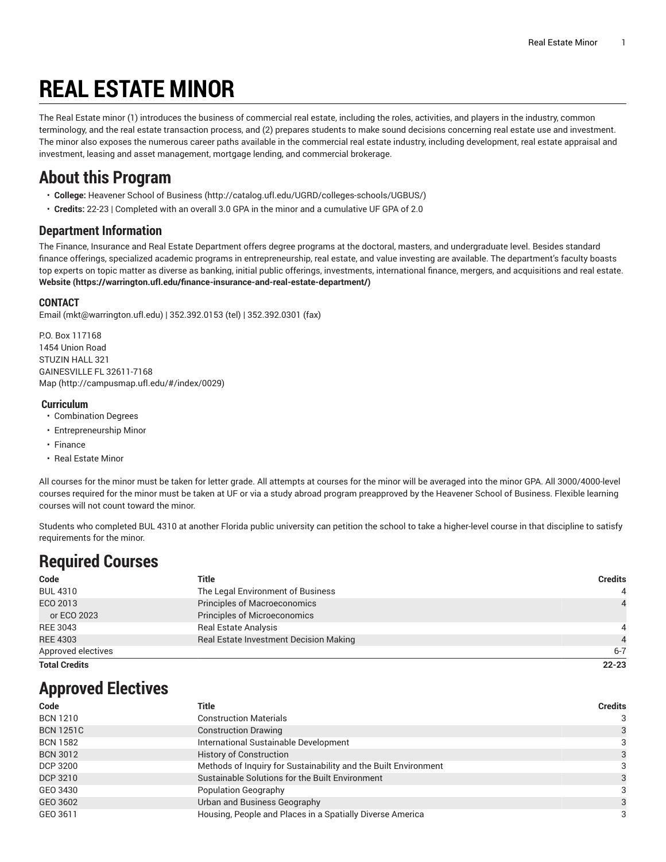# **REAL ESTATE MINOR**

The Real Estate minor (1) introduces the business of commercial real estate, including the roles, activities, and players in the industry, common terminology, and the real estate transaction process, and (2) prepares students to make sound decisions concerning real estate use and investment. The minor also exposes the numerous career paths available in the commercial real estate industry, including development, real estate appraisal and investment, leasing and asset management, mortgage lending, and commercial brokerage.

## **About this Program**

- **College:** [Heavener](http://catalog.ufl.edu/UGRD/colleges-schools/UGBUS/) School of Business (<http://catalog.ufl.edu/UGRD/colleges-schools/UGBUS/>)
- **Credits:** 22-23 | Completed with an overall 3.0 GPA in the minor and a cumulative UF GPA of 2.0

### **Department Information**

The Finance, Insurance and Real Estate Department offers degree programs at the doctoral, masters, and undergraduate level. Besides standard finance offerings, specialized academic programs in entrepreneurship, real estate, and value investing are available. The department's faculty boasts top experts on topic matter as diverse as banking, initial public offerings, investments, international finance, mergers, and acquisitions and real estate. **[Website](https://warrington.ufl.edu/finance-insurance-and-real-estate-department/) (<https://warrington.ufl.edu/finance-insurance-and-real-estate-department/>)**

### **CONTACT**

[Email](mailto:mkt@warrington.ufl.edu) (<mkt@warrington.ufl.edu>) | 352.392.0153 (tel) | 352.392.0301 (fax)

P.O. Box 117168 1454 Union Road STUZIN HALL 321 GAINESVILLE FL 32611-7168 [Map](http://campusmap.ufl.edu/#/index/0029) ([http://campusmap.ufl.edu/#/index/0029\)](http://campusmap.ufl.edu/#/index/0029)

#### **Curriculum**

- Combination Degrees
- Entrepreneurship Minor
- Finance
- Real Estate Minor

All courses for the minor must be taken for letter grade. All attempts at courses for the minor will be averaged into the minor GPA. All 3000/4000-level courses required for the minor must be taken at UF or via a study abroad program preapproved by the Heavener School of Business. Flexible learning courses will not count toward the minor.

Students who completed BUL 4310 at another Florida public university can petition the school to take a higher-level course in that discipline to satisfy requirements for the minor.

# **Required Courses**

| Code                 | Title                                         | <b>Credits</b> |
|----------------------|-----------------------------------------------|----------------|
| <b>BUL 4310</b>      | The Legal Environment of Business             | $\overline{4}$ |
| ECO 2013             | Principles of Macroeconomics                  | $\overline{4}$ |
| or ECO 2023          | Principles of Microeconomics                  |                |
| REE 3043             | <b>Real Estate Analysis</b>                   | 4              |
| <b>REE 4303</b>      | <b>Real Estate Investment Decision Making</b> | 4              |
| Approved electives   |                                               | $6 - 7$        |
| <b>Total Credits</b> |                                               | $22 - 23$      |

# **Approved Electives**

| Code             | Title                                                           | <b>Credits</b> |
|------------------|-----------------------------------------------------------------|----------------|
| <b>BCN 1210</b>  | <b>Construction Materials</b>                                   | 3              |
| <b>BCN 1251C</b> | <b>Construction Drawing</b>                                     |                |
| <b>BCN 1582</b>  | International Sustainable Development                           |                |
| <b>BCN 3012</b>  | <b>History of Construction</b>                                  |                |
| DCP 3200         | Methods of Inquiry for Sustainability and the Built Environment | 3              |
| DCP 3210         | Sustainable Solutions for the Built Environment                 |                |
| GEO 3430         | Population Geography                                            |                |
| GEO 3602         | Urban and Business Geography                                    | 3              |
| GEO 3611         | Housing, People and Places in a Spatially Diverse America       | 3              |